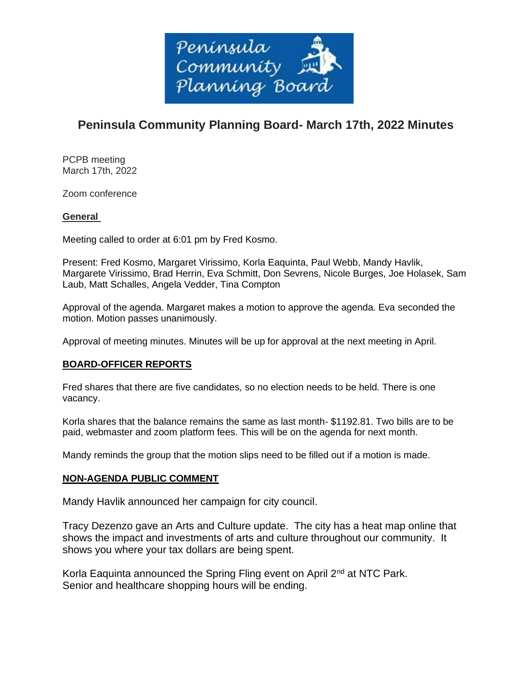

# **Peninsula Community Planning Board- March 17th, 2022 Minutes**

PCPB meeting March 17th, 2022

Zoom conference

# **General**

Meeting called to order at 6:01 pm by Fred Kosmo.

Present: Fred Kosmo, Margaret Virissimo, Korla Eaquinta, Paul Webb, Mandy Havlik, Margarete Virissimo, Brad Herrin, Eva Schmitt, Don Sevrens, Nicole Burges, Joe Holasek, Sam Laub, Matt Schalles, Angela Vedder, Tina Compton

Approval of the agenda. Margaret makes a motion to approve the agenda. Eva seconded the motion. Motion passes unanimously.

Approval of meeting minutes. Minutes will be up for approval at the next meeting in April.

# **BOARD-OFFICER REPORTS**

Fred shares that there are five candidates, so no election needs to be held. There is one vacancy.

Korla shares that the balance remains the same as last month- \$1192.81. Two bills are to be paid, webmaster and zoom platform fees. This will be on the agenda for next month.

Mandy reminds the group that the motion slips need to be filled out if a motion is made.

## **NON-AGENDA PUBLIC COMMENT**

Mandy Havlik announced her campaign for city council.

Tracy Dezenzo gave an Arts and Culture update. The city has a heat map online that shows the impact and investments of arts and culture throughout our community. It shows you where your tax dollars are being spent.

Korla Eaquinta announced the Spring Fling event on April 2<sup>nd</sup> at NTC Park. Senior and healthcare shopping hours will be ending.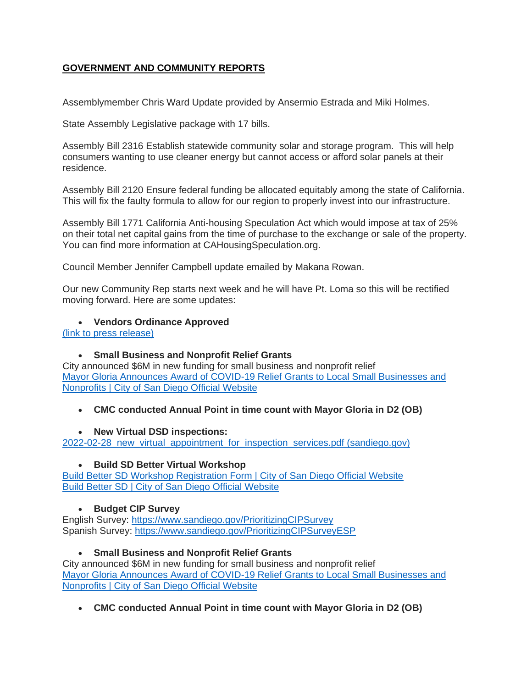# **GOVERNMENT AND COMMUNITY REPORTS**

Assemblymember Chris Ward Update provided by Ansermio Estrada and Miki Holmes.

State Assembly Legislative package with 17 bills.

Assembly Bill 2316 Establish statewide community solar and storage program. This will help consumers wanting to use cleaner energy but cannot access or afford solar panels at their residence.

Assembly Bill 2120 Ensure federal funding be allocated equitably among the state of California. This will fix the faulty formula to allow for our region to properly invest into our infrastructure.

Assembly Bill 1771 California Anti-housing Speculation Act which would impose at tax of 25% on their total net capital gains from the time of purchase to the exchange or sale of the property. You can find more information at CAHousingSpeculation.org.

Council Member Jennifer Campbell update emailed by Makana Rowan.

Our new Community Rep starts next week and he will have Pt. Loma so this will be rectified moving forward. Here are some updates:

#### • **Vendors Ordinance Approved**

[\(link to press release\)](https://www.facebook.com/photo?fbid=366271095318534&set=a.273124577966520)

## • **Small Business and Nonprofit Relief Grants**

City announced \$6M in new funding for small business and nonprofit relief [Mayor Gloria Announces Award of COVID-19 Relief Grants to Local Small Businesses and](https://www.sandiego.gov/mayor/mayor-gloria-announces-award-covid-19-relief-grants-local-small-businesses-and)  [Nonprofits | City of San Diego Official Website](https://www.sandiego.gov/mayor/mayor-gloria-announces-award-covid-19-relief-grants-local-small-businesses-and)

## • **CMC conducted Annual Point in time count with Mayor Gloria in D2 (OB)**

## • **New Virtual DSD inspections:**

[2022-02-28\\_new\\_virtual\\_appointment\\_for\\_inspection\\_services.pdf \(sandiego.gov\)](https://www.sandiego.gov/sites/default/files/2022-02-28_new_virtual_appointment_for_inspection_services.pdf)

#### • **Build SD Better Virtual Workshop**

[Build Better SD Workshop Registration Form | City of San Diego Official Website](https://www.sandiego.gov/buildbettersd/build-better-sd-workshop-registration-form) [Build Better SD | City of San Diego Official Website](https://www.sandiego.gov/buildbettersd)

## • **Budget CIP Survey**

English Survey: <https://www.sandiego.gov/PrioritizingCIPSurvey> Spanish Survey: <https://www.sandiego.gov/PrioritizingCIPSurveyESP>

#### • **Small Business and Nonprofit Relief Grants**

City announced \$6M in new funding for small business and nonprofit relief [Mayor Gloria Announces Award of COVID-19 Relief Grants to Local Small Businesses and](https://www.sandiego.gov/mayor/mayor-gloria-announces-award-covid-19-relief-grants-local-small-businesses-and)  [Nonprofits | City of San Diego Official Website](https://www.sandiego.gov/mayor/mayor-gloria-announces-award-covid-19-relief-grants-local-small-businesses-and)

• **CMC conducted Annual Point in time count with Mayor Gloria in D2 (OB)**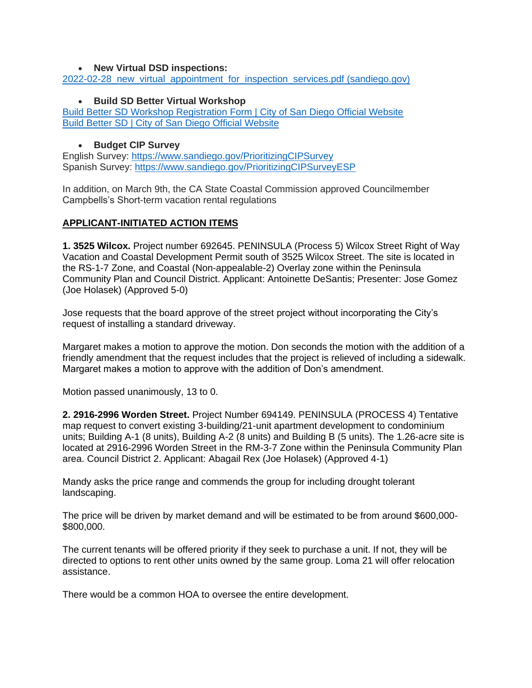#### • **New Virtual DSD inspections:**

[2022-02-28\\_new\\_virtual\\_appointment\\_for\\_inspection\\_services.pdf \(sandiego.gov\)](https://www.sandiego.gov/sites/default/files/2022-02-28_new_virtual_appointment_for_inspection_services.pdf)

### • **Build SD Better Virtual Workshop**

[Build Better SD Workshop Registration Form | City of San Diego Official Website](https://www.sandiego.gov/buildbettersd/build-better-sd-workshop-registration-form) [Build Better SD | City of San Diego Official Website](https://www.sandiego.gov/buildbettersd)

### • **Budget CIP Survey**

English Survey: <https://www.sandiego.gov/PrioritizingCIPSurvey> Spanish Survey: <https://www.sandiego.gov/PrioritizingCIPSurveyESP>

In addition, on March 9th, the CA State Coastal Commission approved Councilmember Campbells's Short-term vacation rental regulations

#### **APPLICANT-INITIATED ACTION ITEMS**

**1. 3525 Wilcox.** Project number 692645. PENINSULA (Process 5) Wilcox Street Right of Way Vacation and Coastal Development Permit south of 3525 Wilcox Street. The site is located in the RS-1-7 Zone, and Coastal (Non-appealable-2) Overlay zone within the Peninsula Community Plan and Council District. Applicant: Antoinette DeSantis; Presenter: Jose Gomez (Joe Holasek) (Approved 5-0)

Jose requests that the board approve of the street project without incorporating the City's request of installing a standard driveway.

Margaret makes a motion to approve the motion. Don seconds the motion with the addition of a friendly amendment that the request includes that the project is relieved of including a sidewalk. Margaret makes a motion to approve with the addition of Don's amendment.

Motion passed unanimously, 13 to 0.

**2. 2916-2996 Worden Street.** Project Number 694149. PENINSULA (PROCESS 4) Tentative map request to convert existing 3-building/21-unit apartment development to condominium units; Building A-1 (8 units), Building A-2 (8 units) and Building B (5 units). The 1.26-acre site is located at 2916-2996 Worden Street in the RM-3-7 Zone within the Peninsula Community Plan area. Council District 2. Applicant: Abagail Rex (Joe Holasek) (Approved 4-1)

Mandy asks the price range and commends the group for including drought tolerant landscaping.

The price will be driven by market demand and will be estimated to be from around \$600,000- \$800,000.

The current tenants will be offered priority if they seek to purchase a unit. If not, they will be directed to options to rent other units owned by the same group. Loma 21 will offer relocation assistance.

There would be a common HOA to oversee the entire development.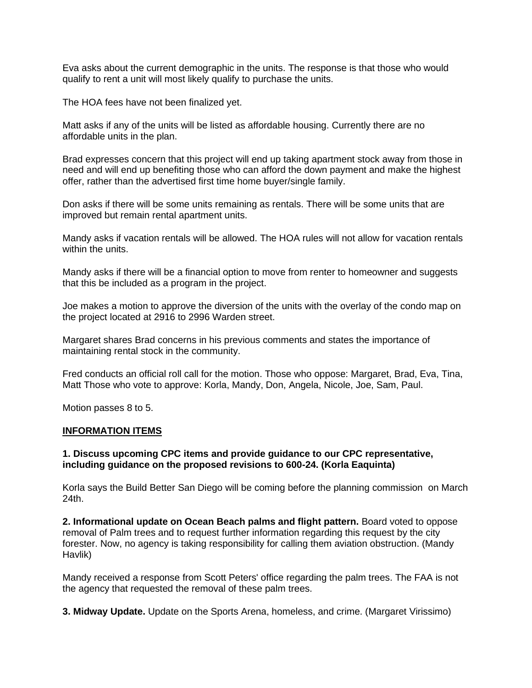Eva asks about the current demographic in the units. The response is that those who would qualify to rent a unit will most likely qualify to purchase the units.

The HOA fees have not been finalized yet.

Matt asks if any of the units will be listed as affordable housing. Currently there are no affordable units in the plan.

Brad expresses concern that this project will end up taking apartment stock away from those in need and will end up benefiting those who can afford the down payment and make the highest offer, rather than the advertised first time home buyer/single family.

Don asks if there will be some units remaining as rentals. There will be some units that are improved but remain rental apartment units.

Mandy asks if vacation rentals will be allowed. The HOA rules will not allow for vacation rentals within the units.

Mandy asks if there will be a financial option to move from renter to homeowner and suggests that this be included as a program in the project.

Joe makes a motion to approve the diversion of the units with the overlay of the condo map on the project located at 2916 to 2996 Warden street.

Margaret shares Brad concerns in his previous comments and states the importance of maintaining rental stock in the community.

Fred conducts an official roll call for the motion. Those who oppose: Margaret, Brad, Eva, Tina, Matt Those who vote to approve: Korla, Mandy, Don, Angela, Nicole, Joe, Sam, Paul.

Motion passes 8 to 5.

#### **INFORMATION ITEMS**

#### **1. Discuss upcoming CPC items and provide guidance to our CPC representative, including guidance on the proposed revisions to 600-24. (Korla Eaquinta)**

Korla says the Build Better San Diego will be coming before the planning commission on March 24th.

**2. Informational update on Ocean Beach palms and flight pattern.** Board voted to oppose removal of Palm trees and to request further information regarding this request by the city forester. Now, no agency is taking responsibility for calling them aviation obstruction. (Mandy Havlik)

Mandy received a response from Scott Peters' office regarding the palm trees. The FAA is not the agency that requested the removal of these palm trees.

**3. Midway Update.** Update on the Sports Arena, homeless, and crime. (Margaret Virissimo)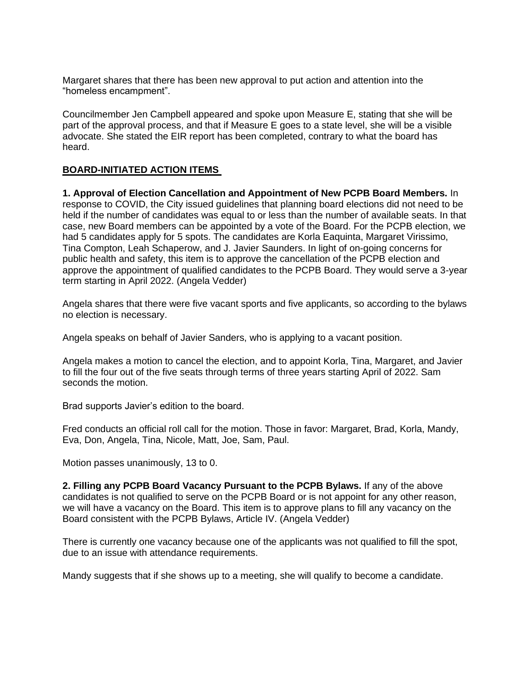Margaret shares that there has been new approval to put action and attention into the "homeless encampment".

Councilmember Jen Campbell appeared and spoke upon Measure E, stating that she will be part of the approval process, and that if Measure E goes to a state level, she will be a visible advocate. She stated the EIR report has been completed, contrary to what the board has heard.

#### **BOARD-INITIATED ACTION ITEMS**

**1. Approval of Election Cancellation and Appointment of New PCPB Board Members.** In response to COVID, the City issued guidelines that planning board elections did not need to be held if the number of candidates was equal to or less than the number of available seats. In that case, new Board members can be appointed by a vote of the Board. For the PCPB election, we had 5 candidates apply for 5 spots. The candidates are Korla Eaquinta, Margaret Virissimo, Tina Compton, Leah Schaperow, and J. Javier Saunders. In light of on-going concerns for public health and safety, this item is to approve the cancellation of the PCPB election and approve the appointment of qualified candidates to the PCPB Board. They would serve a 3-year term starting in April 2022. (Angela Vedder)

Angela shares that there were five vacant sports and five applicants, so according to the bylaws no election is necessary.

Angela speaks on behalf of Javier Sanders, who is applying to a vacant position.

Angela makes a motion to cancel the election, and to appoint Korla, Tina, Margaret, and Javier to fill the four out of the five seats through terms of three years starting April of 2022. Sam seconds the motion.

Brad supports Javier's edition to the board.

Fred conducts an official roll call for the motion. Those in favor: Margaret, Brad, Korla, Mandy, Eva, Don, Angela, Tina, Nicole, Matt, Joe, Sam, Paul.

Motion passes unanimously, 13 to 0.

**2. Filling any PCPB Board Vacancy Pursuant to the PCPB Bylaws.** If any of the above candidates is not qualified to serve on the PCPB Board or is not appoint for any other reason, we will have a vacancy on the Board. This item is to approve plans to fill any vacancy on the Board consistent with the PCPB Bylaws, Article IV. (Angela Vedder)

There is currently one vacancy because one of the applicants was not qualified to fill the spot, due to an issue with attendance requirements.

Mandy suggests that if she shows up to a meeting, she will qualify to become a candidate.